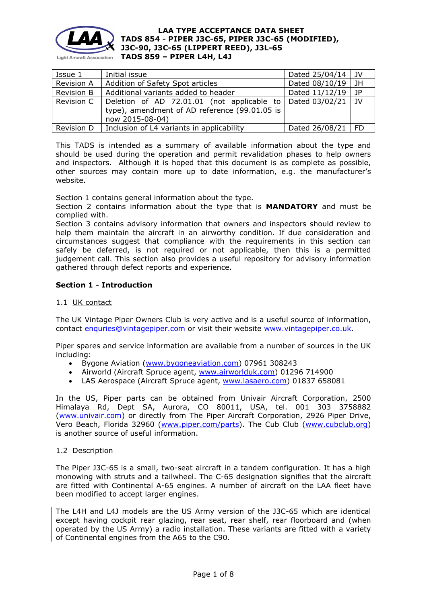

| Issue 1 | Initial issue                                                                                                                                                                                                                                                                                    | Dated $25/04/14$   JV    |  |
|---------|--------------------------------------------------------------------------------------------------------------------------------------------------------------------------------------------------------------------------------------------------------------------------------------------------|--------------------------|--|
|         | $\mathbf{D}$ and all $\mathbf{A}$ and $\mathbf{A}$ and $\mathbf{A}$ and $\mathbf{A}$ are $\mathbf{A}$ and $\mathbf{A}$ and $\mathbf{A}$ are $\mathbf{A}$ and $\mathbf{A}$ are $\mathbf{A}$ and $\mathbf{A}$ are $\mathbf{A}$ and $\mathbf{A}$ are $\mathbf{A}$ and $\mathbf{A}$ are $\mathbf{A}$ | $D - L - 1$ $0011011011$ |  |

| 1994 T     | THINGI ISSUE                                                                                                   | $D$ alcu $L$ <i>J</i> $U$ + $T$ + $V$ |      |
|------------|----------------------------------------------------------------------------------------------------------------|---------------------------------------|------|
| Revision A | Addition of Safety Spot articles                                                                               | Dated 08/10/19                        | JH   |
| Revision B | Additional variants added to header                                                                            | Dated 11/12/19                        | l JP |
| Revision C | Deletion of AD 72.01.01 (not applicable to<br>type), amendment of AD reference (99.01.05 is<br>now 2015-08-04) | Dated 03/02/21                        | - IV |
| Revision D | Inclusion of L4 variants in applicability                                                                      | Dated 26/08/21   FD                   |      |

This TADS is intended as a summary of available information about the type and should be used during the operation and permit revalidation phases to help owners and inspectors. Although it is hoped that this document is as complete as possible, other sources may contain more up to date information, e.g. the manufacturer's website.

Section 1 contains general information about the type.

Section 2 contains information about the type that is **MANDATORY** and must be complied with.

Section 3 contains advisory information that owners and inspectors should review to help them maintain the aircraft in an airworthy condition. If due consideration and circumstances suggest that compliance with the requirements in this section can safely be deferred, is not required or not applicable, then this is a permitted judgement call. This section also provides a useful repository for advisory information gathered through defect reports and experience.

# **Section 1 - Introduction**

# 1.1 UK contact

The UK Vintage Piper Owners Club is very active and is a useful source of information, contact [enquries@vintagepiper.com](mailto:enquries@vintagepiper.com) or visit their website [www.vintagepiper.co.uk.](http://www.vintagepiper.co.uk/)

Piper spares and service information are available from a number of sources in the UK including:

- Bygone Aviation [\(www.bygoneaviation.com\)](http://www.bygoneaviation.com/) 07961 308243
- Airworld (Aircraft Spruce agent, [www.airworlduk.com\)](http://www.airworlduk.com/) 01296 714900
- LAS Aerospace (Aircraft Spruce agent, [www.lasaero.com\)](http://www.lasaero.com/) 01837 658081

In the US, Piper parts can be obtained from Univair Aircraft Corporation, 2500 Himalaya Rd, Dept SA, Aurora, CO 80011, USA, tel. 001 303 3758882 [\(www.univair.com\)](http://www.univair.com/) or directly from The Piper Aircraft Corporation, 2926 Piper Drive, Vero Beach, Florida 32960 [\(www.piper.com/parts\)](http://www.piper.com/parts). The Cub Club [\(www.cubclub.org\)](http://www.cubclub.org/) is another source of useful information.

## 1.2 Description

The Piper J3C-65 is a small, two-seat aircraft in a tandem configuration. It has a high monowing with struts and a tailwheel. The C-65 designation signifies that the aircraft are fitted with Continental A-65 engines. A number of aircraft on the LAA fleet have been modified to accept larger engines.

The L4H and L4J models are the US Army version of the J3C-65 which are identical except having cockpit rear glazing, rear seat, rear shelf, rear floorboard and (when operated by the US Army) a radio installation. These variants are fitted with a variety of Continental engines from the A65 to the C90.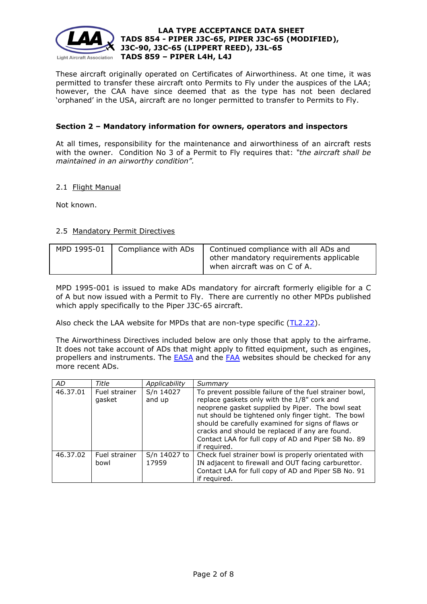

These aircraft originally operated on Certificates of Airworthiness. At one time, it was permitted to transfer these aircraft onto Permits to Fly under the auspices of the LAA; however, the CAA have since deemed that as the type has not been declared 'orphaned' in the USA, aircraft are no longer permitted to transfer to Permits to Fly.

# **Section 2 – Mandatory information for owners, operators and inspectors**

At all times, responsibility for the maintenance and airworthiness of an aircraft rests with the owner. Condition No 3 of a Permit to Fly requires that: *"the aircraft shall be maintained in an airworthy condition".* 

## 2.1 Flight Manual

Not known.

## 2.5 Mandatory Permit Directives

| MPD 1995-01 | Compliance with ADs | Continued compliance with all ADs and<br>other mandatory requirements applicable<br>when aircraft was on C of A. |
|-------------|---------------------|------------------------------------------------------------------------------------------------------------------|
|             |                     |                                                                                                                  |

MPD 1995-001 is issued to make ADs mandatory for aircraft formerly eligible for a C of A but now issued with a Permit to Fly. There are currently no other MPDs published which apply specifically to the Piper J3C-65 aircraft.

Also check the LAA website for MPDs that are non-type specific [\(TL2.22\)](http://www.lightaircraftassociation.co.uk/engineering/TechnicalLeaflets/Operating%20An%20Aircraft/TL%202.22%20non-type%20specific%20MPDs.pdf).

The Airworthiness Directives included below are only those that apply to the airframe. It does not take account of ADs that might apply to fitted equipment, such as engines, propellers and instruments. The [EASA](http://ad.easa.europa.eu/) and the [FAA](http://www.faa.gov/regulations_policies/airworthiness_directives/) websites should be checked for any more recent ADs.

| <b>AD</b> | Title                   | Applicability         | Summary                                                                                                                                                                                                                                                                                                                                                                                          |
|-----------|-------------------------|-----------------------|--------------------------------------------------------------------------------------------------------------------------------------------------------------------------------------------------------------------------------------------------------------------------------------------------------------------------------------------------------------------------------------------------|
| 46.37.01  | Fuel strainer<br>gasket | S/n 14027<br>and up   | To prevent possible failure of the fuel strainer bowl,<br>replace gaskets only with the 1/8" cork and<br>neoprene gasket supplied by Piper. The bowl seat<br>nut should be tightened only finger tight. The bowl<br>should be carefully examined for signs of flaws or<br>cracks and should be replaced if any are found.<br>Contact LAA for full copy of AD and Piper SB No. 89<br>if required. |
| 46.37.02  | Fuel strainer<br>bowl   | S/n 14027 to<br>17959 | Check fuel strainer bowl is properly orientated with<br>IN adjacent to firewall and OUT facing carburettor.<br>Contact LAA for full copy of AD and Piper SB No. 91<br>if required.                                                                                                                                                                                                               |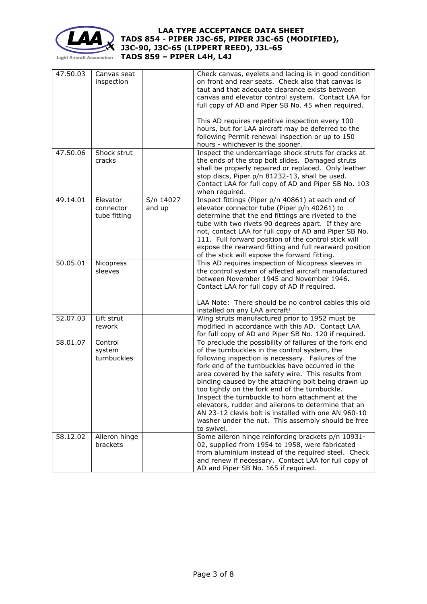

# **LAA TYPE ACCEPTANCE DATA SHEET TADS 854 - PIPER J3C-65, PIPER J3C-65 (MODIFIED), J3C-90, J3C-65 (LIPPERT REED), J3L-65**

**TADS 859 – PIPER L4H, L4J**

| 47.50.03 | Canvas seat<br>inspection             |                     | Check canvas, eyelets and lacing is in good condition<br>on front and rear seats. Check also that canvas is<br>taut and that adequate clearance exists between<br>canvas and elevator control system. Contact LAA for<br>full copy of AD and Piper SB No. 45 when required.<br>This AD requires repetitive inspection every 100<br>hours, but for LAA aircraft may be deferred to the<br>following Permit renewal inspection or up to 150<br>hours - whichever is the sooner.                                                                                                                                            |
|----------|---------------------------------------|---------------------|--------------------------------------------------------------------------------------------------------------------------------------------------------------------------------------------------------------------------------------------------------------------------------------------------------------------------------------------------------------------------------------------------------------------------------------------------------------------------------------------------------------------------------------------------------------------------------------------------------------------------|
| 47.50.06 | Shock strut<br>cracks                 |                     | Inspect the undercarriage shock struts for cracks at<br>the ends of the stop bolt slides. Damaged struts<br>shall be properly repaired or replaced. Only leather<br>stop discs, Piper p/n 81232-13, shall be used.<br>Contact LAA for full copy of AD and Piper SB No. 103<br>when required.                                                                                                                                                                                                                                                                                                                             |
| 49.14.01 | Elevator<br>connector<br>tube fitting | S/n 14027<br>and up | Inspect fittings (Piper p/n 40861) at each end of<br>elevator connector tube (Piper p/n 40261) to<br>determine that the end fittings are riveted to the<br>tube with two rivets 90 degrees apart. If they are<br>not, contact LAA for full copy of AD and Piper SB No.<br>111. Full forward position of the control stick will<br>expose the rearward fitting and full rearward position<br>of the stick will expose the forward fitting.                                                                                                                                                                                |
| 50.05.01 | Nicopress<br>sleeves                  |                     | This AD requires inspection of Nicopress sleeves in<br>the control system of affected aircraft manufactured<br>between November 1945 and November 1946.<br>Contact LAA for full copy of AD if required.<br>LAA Note: There should be no control cables this old<br>installed on any LAA aircraft!                                                                                                                                                                                                                                                                                                                        |
| 52.07.03 | Lift strut<br>rework                  |                     | Wing struts manufactured prior to 1952 must be<br>modified in accordance with this AD. Contact LAA<br>for full copy of AD and Piper SB No. 120 if required.                                                                                                                                                                                                                                                                                                                                                                                                                                                              |
| 58.01.07 | Control<br>system<br>turnbuckles      |                     | To preclude the possibility of failures of the fork end<br>of the turnbuckles in the control system, the<br>following inspection is necessary. Failures of the<br>fork end of the turnbuckles have occurred in the<br>area covered by the safety wire. This results from<br>binding caused by the attaching bolt being drawn up<br>too tightly on the fork end of the turnbuckle.<br>Inspect the turnbuckle to horn attachment at the<br>elevators, rudder and ailerons to determine that an<br>AN 23-12 clevis bolt is installed with one AN 960-10<br>washer under the nut. This assembly should be free<br>to swivel. |
| 58.12.02 | Aileron hinge<br>brackets             |                     | Some aileron hinge reinforcing brackets p/n 10931-<br>02, supplied from 1954 to 1958, were fabricated<br>from aluminium instead of the required steel. Check<br>and renew if necessary. Contact LAA for full copy of<br>AD and Piper SB No. 165 if required.                                                                                                                                                                                                                                                                                                                                                             |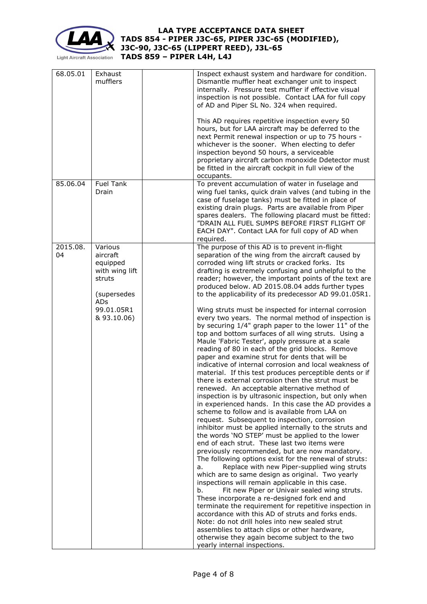

# **LAA TYPE ACCEPTANCE DATA SHEET TADS 854 - PIPER J3C-65, PIPER J3C-65 (MODIFIED), J3C-90, J3C-65 (LIPPERT REED), J3L-65**

**TADS 859 – PIPER L4H, L4J**

| 68.05.01<br>Exhaust<br>mufflers                                                                                                         | Inspect exhaust system and hardware for condition.<br>Dismantle muffler heat exchanger unit to inspect<br>internally. Pressure test muffler if effective visual<br>inspection is not possible. Contact LAA for full copy<br>of AD and Piper SL No. 324 when required.<br>This AD requires repetitive inspection every 50<br>hours, but for LAA aircraft may be deferred to the<br>next Permit renewal inspection or up to 75 hours -<br>whichever is the sooner. When electing to defer<br>inspection beyond 50 hours, a serviceable<br>proprietary aircraft carbon monoxide Ddetector must<br>be fitted in the aircraft cockpit in full view of the<br>occupants.                                                                                                                                                                                                                                                                                                                                                                                                                                                                                                                                                                                                                                                                                                                                                                                                                                                                                                                                                                                                                                                                                                                                                                                                                                                                                                                                                                                                           |
|-----------------------------------------------------------------------------------------------------------------------------------------|------------------------------------------------------------------------------------------------------------------------------------------------------------------------------------------------------------------------------------------------------------------------------------------------------------------------------------------------------------------------------------------------------------------------------------------------------------------------------------------------------------------------------------------------------------------------------------------------------------------------------------------------------------------------------------------------------------------------------------------------------------------------------------------------------------------------------------------------------------------------------------------------------------------------------------------------------------------------------------------------------------------------------------------------------------------------------------------------------------------------------------------------------------------------------------------------------------------------------------------------------------------------------------------------------------------------------------------------------------------------------------------------------------------------------------------------------------------------------------------------------------------------------------------------------------------------------------------------------------------------------------------------------------------------------------------------------------------------------------------------------------------------------------------------------------------------------------------------------------------------------------------------------------------------------------------------------------------------------------------------------------------------------------------------------------------------------|
| <b>Fuel Tank</b><br>85.06.04<br>Drain                                                                                                   | To prevent accumulation of water in fuselage and<br>wing fuel tanks, quick drain valves (and tubing in the<br>case of fuselage tanks) must be fitted in place of<br>existing drain plugs. Parts are available from Piper<br>spares dealers. The following placard must be fitted:<br>"DRAIN ALL FUEL SUMPS BEFORE FIRST FLIGHT OF<br>EACH DAY". Contact LAA for full copy of AD when<br>required.                                                                                                                                                                                                                                                                                                                                                                                                                                                                                                                                                                                                                                                                                                                                                                                                                                                                                                                                                                                                                                                                                                                                                                                                                                                                                                                                                                                                                                                                                                                                                                                                                                                                            |
| Various<br>2015.08.<br>04<br>aircraft<br>equipped<br>with wing lift<br>struts<br>(supersedes<br><b>ADs</b><br>99.01.05R1<br>& 93.10.06) | The purpose of this AD is to prevent in-flight<br>separation of the wing from the aircraft caused by<br>corroded wing lift struts or cracked forks. Its<br>drafting is extremely confusing and unhelpful to the<br>reader; however, the important points of the text are<br>produced below. AD 2015.08.04 adds further types<br>to the applicability of its predecessor AD 99.01.05R1.<br>Wing struts must be inspected for internal corrosion<br>every two years. The normal method of inspection is<br>by securing 1/4" graph paper to the lower 11" of the<br>top and bottom surfaces of all wing struts. Using a<br>Maule 'Fabric Tester', apply pressure at a scale<br>reading of 80 in each of the grid blocks. Remove<br>paper and examine strut for dents that will be<br>indicative of internal corrosion and local weakness of<br>material. If this test produces perceptible dents or if<br>there is external corrosion then the strut must be<br>renewed. An acceptable alternative method of<br>inspection is by ultrasonic inspection, but only when<br>in experienced hands. In this case the AD provides a<br>scheme to follow and is available from LAA on<br>request. Subsequent to inspection, corrosion<br>inhibitor must be applied internally to the struts and<br>the words 'NO STEP' must be applied to the lower<br>end of each strut. These last two items were<br>previously recommended, but are now mandatory.<br>The following options exist for the renewal of struts:<br>Replace with new Piper-supplied wing struts<br>а.<br>which are to same design as original. Two yearly<br>inspections will remain applicable in this case.<br>Fit new Piper or Univair sealed wing struts.<br>b.<br>These incorporate a re-designed fork end and<br>terminate the requirement for repetitive inspection in<br>accordance with this AD of struts and forks ends.<br>Note: do not drill holes into new sealed strut<br>assemblies to attach clips or other hardware,<br>otherwise they again become subject to the two<br>yearly internal inspections. |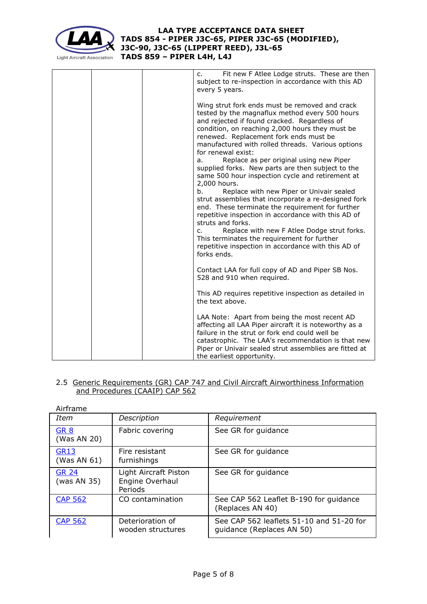

c. Fit new F Atlee Lodge struts. These are then subject to re-inspection in accordance with this AD every 5 years. Wing strut fork ends must be removed and crack tested by the magnaflux method every 500 hours and rejected if found cracked. Regardless of condition, on reaching 2,000 hours they must be renewed. Replacement fork ends must be manufactured with rolled threads. Various options for renewal exist: a. Replace as per original using new Piper supplied forks. New parts are then subject to the same 500 hour inspection cycle and retirement at 2,000 hours. b. Replace with new Piper or Univair sealed strut assemblies that incorporate a re-designed fork end. These terminate the requirement for further repetitive inspection in accordance with this AD of struts and forks. c. Replace with new F Atlee Dodge strut forks. This terminates the requirement for further repetitive inspection in accordance with this AD of forks ends. Contact LAA for full copy of AD and Piper SB Nos. 528 and 910 when required. This AD requires repetitive inspection as detailed in the text above. LAA Note: Apart from being the most recent AD affecting all LAA Piper aircraft it is noteworthy as a failure in the strut or fork end could well be catastrophic. The LAA's recommendation is that new Piper or Univair sealed strut assemblies are fitted at the earliest opportunity.

## 2.5 Generic Requirements (GR) CAP 747 and Civil Aircraft Airworthiness Information and Procedures (CAAIP) CAP 562

| Airframe                    |                                                     |                                                                       |
|-----------------------------|-----------------------------------------------------|-----------------------------------------------------------------------|
| Item                        | Description                                         | Requirement                                                           |
| <b>GR 8</b><br>(Was AN 20)  | Fabric covering                                     | See GR for guidance                                                   |
| <b>GR13</b><br>(Was AN 61)  | Fire resistant<br>furnishings                       | See GR for guidance                                                   |
| <b>GR 24</b><br>(was AN 35) | Light Aircraft Piston<br>Engine Overhaul<br>Periods | See GR for guidance                                                   |
| <b>CAP 562</b>              | CO contamination                                    | See CAP 562 Leaflet B-190 for guidance<br>(Replaces AN 40)            |
| <b>CAP 562</b>              | Deterioration of<br>wooden structures               | See CAP 562 leaflets 51-10 and 51-20 for<br>guidance (Replaces AN 50) |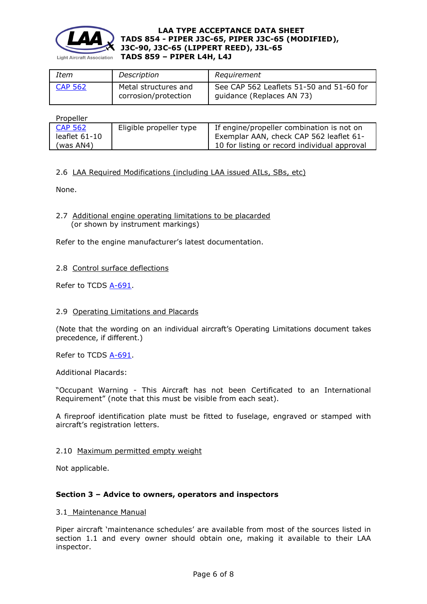

| Item           | Description                                  | Requirement                                                           |
|----------------|----------------------------------------------|-----------------------------------------------------------------------|
| <b>CAP 562</b> | Metal structures and<br>corrosion/protection | See CAP 562 Leaflets 51-50 and 51-60 for<br>guidance (Replaces AN 73) |

**Propeller** 

| .               |                         |                                              |
|-----------------|-------------------------|----------------------------------------------|
| <b>CAP 562</b>  | Eligible propeller type | If engine/propeller combination is not on    |
| leaflet $61-10$ |                         | Exemplar AAN, check CAP 562 leaflet 61-      |
| 'was AN4)       |                         | 10 for listing or record individual approval |

# 2.6 LAA Required Modifications (including LAA issued AILs, SBs, etc)

None.

# 2.7 Additional engine operating limitations to be placarded (or shown by instrument markings)

Refer to the engine manufacturer's latest documentation.

# 2.8 Control surface deflections

Refer to TCDS [A-691.](http://www.lightaircraftassociation.co.uk/engineering/TADs/../_In%20draft/854%20PIPER%20J3C-65%20Type%20Amendment%20111219/854/a-691.pdf)

## 2.9 Operating Limitations and Placards

(Note that the wording on an individual aircraft's Operating Limitations document takes precedence, if different.)

Refer to TCDS [A-691.](http://www.lightaircraftassociation.co.uk/engineering/TADs/../_In%20draft/854%20PIPER%20J3C-65%20Type%20Amendment%20111219/854/a-691.pdf)

Additional Placards:

"Occupant Warning - This Aircraft has not been Certificated to an International Requirement" (note that this must be visible from each seat).

A fireproof identification plate must be fitted to fuselage, engraved or stamped with aircraft's registration letters.

## 2.10 Maximum permitted empty weight

Not applicable.

# **Section 3 – Advice to owners, operators and inspectors**

#### 3.1 Maintenance Manual

Piper aircraft 'maintenance schedules' are available from most of the sources listed in section 1.1 and every owner should obtain one, making it available to their LAA inspector.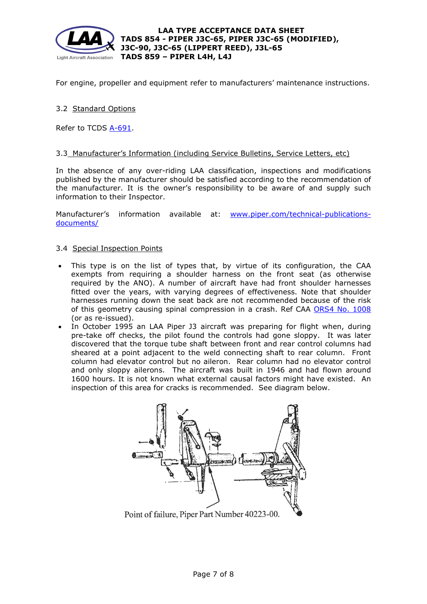

For engine, propeller and equipment refer to manufacturers' maintenance instructions.

# 3.2 Standard Options

Refer to TCDS [A-691.](http://www.lightaircraftassociation.co.uk/engineering/TADs/854/a-691.pdf)

### 3.3 Manufacturer's Information (including Service Bulletins, Service Letters, etc)

In the absence of any over-riding LAA classification, inspections and modifications published by the manufacturer should be satisfied according to the recommendation of the manufacturer. It is the owner's responsibility to be aware of and supply such information to their Inspector.

Manufacturer's information available at: [www.piper.com/technical-publications](http://www.piper.com/technical-publications-documents/)[documents/](http://www.piper.com/technical-publications-documents/)

### 3.4 Special Inspection Points

- This type is on the list of types that, by virtue of its configuration, the CAA exempts from requiring a shoulder harness on the front seat (as otherwise required by the ANO). A number of aircraft have had front shoulder harnesses fitted over the years, with varying degrees of effectiveness. Note that shoulder harnesses running down the seat back are not recommended because of the risk of this geometry causing spinal compression in a crash. Ref CAA [ORS4 No. 1008](http://www.caa.co.uk/docs/33/ORS4%20No.%201008.pdf) (or as re-issued).
- In October 1995 an LAA Piper J3 aircraft was preparing for flight when, during pre-take off checks, the pilot found the controls had gone sloppy. It was later discovered that the torque tube shaft between front and rear control columns had sheared at a point adjacent to the weld connecting shaft to rear column. Front column had elevator control but no aileron. Rear column had no elevator control and only sloppy ailerons. The aircraft was built in 1946 and had flown around 1600 hours. It is not known what external causal factors might have existed. An inspection of this area for cracks is recommended. See diagram below.



Point of failure, Piper Part Number 40223-00.